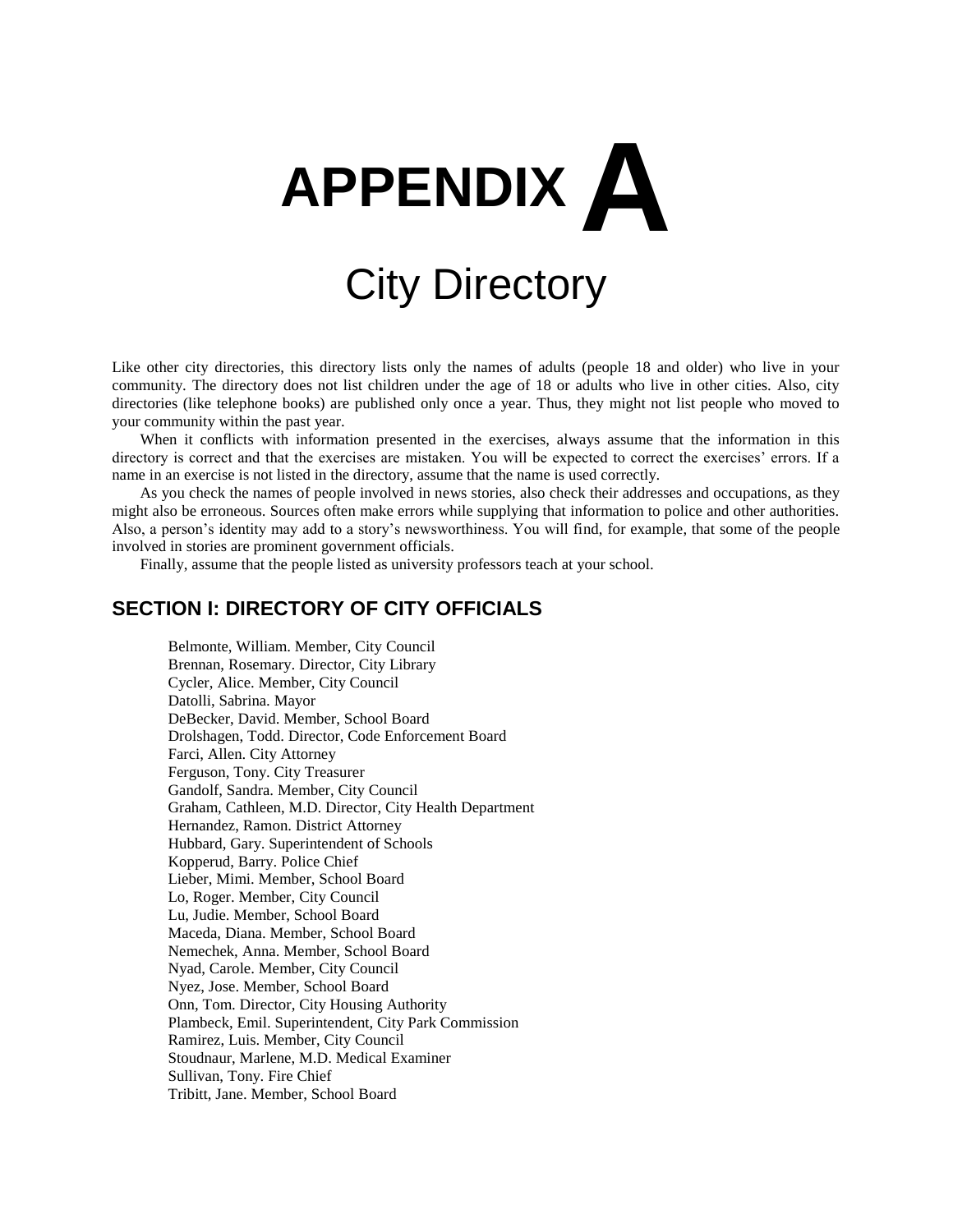

# City Directory

Like other city directories, this directory lists only the names of adults (people 18 and older) who live in your community. The directory does not list children under the age of 18 or adults who live in other cities. Also, city directories (like telephone books) are published only once a year. Thus, they might not list people who moved to your community within the past year.

When it conflicts with information presented in the exercises, always assume that the information in this directory is correct and that the exercises are mistaken. You will be expected to correct the exercises' errors. If a name in an exercise is not listed in the directory, assume that the name is used correctly.

As you check the names of people involved in news stories, also check their addresses and occupations, as they might also be erroneous. Sources often make errors while supplying that information to police and other authorities. Also, a person's identity may add to a story's newsworthiness. You will find, for example, that some of the people involved in stories are prominent government officials.

Finally, assume that the people listed as university professors teach at your school.

# **SECTION I: DIRECTORY OF CITY OFFICIALS**

Belmonte, William. Member, City Council Brennan, Rosemary. Director, City Library Cycler, Alice. Member, City Council Datolli, Sabrina. Mayor DeBecker, David. Member, School Board Drolshagen, Todd. Director, Code Enforcement Board Farci, Allen. City Attorney Ferguson, Tony. City Treasurer Gandolf, Sandra. Member, City Council Graham, Cathleen, M.D. Director, City Health Department Hernandez, Ramon. District Attorney Hubbard, Gary. Superintendent of Schools Kopperud, Barry. Police Chief Lieber, Mimi. Member, School Board Lo, Roger. Member, City Council Lu, Judie. Member, School Board Maceda, Diana. Member, School Board Nemechek, Anna. Member, School Board Nyad, Carole. Member, City Council Nyez, Jose. Member, School Board Onn, Tom. Director, City Housing Authority Plambeck, Emil. Superintendent, City Park Commission Ramirez, Luis. Member, City Council Stoudnaur, Marlene, M.D. Medical Examiner Sullivan, Tony. Fire Chief Tribitt, Jane. Member, School Board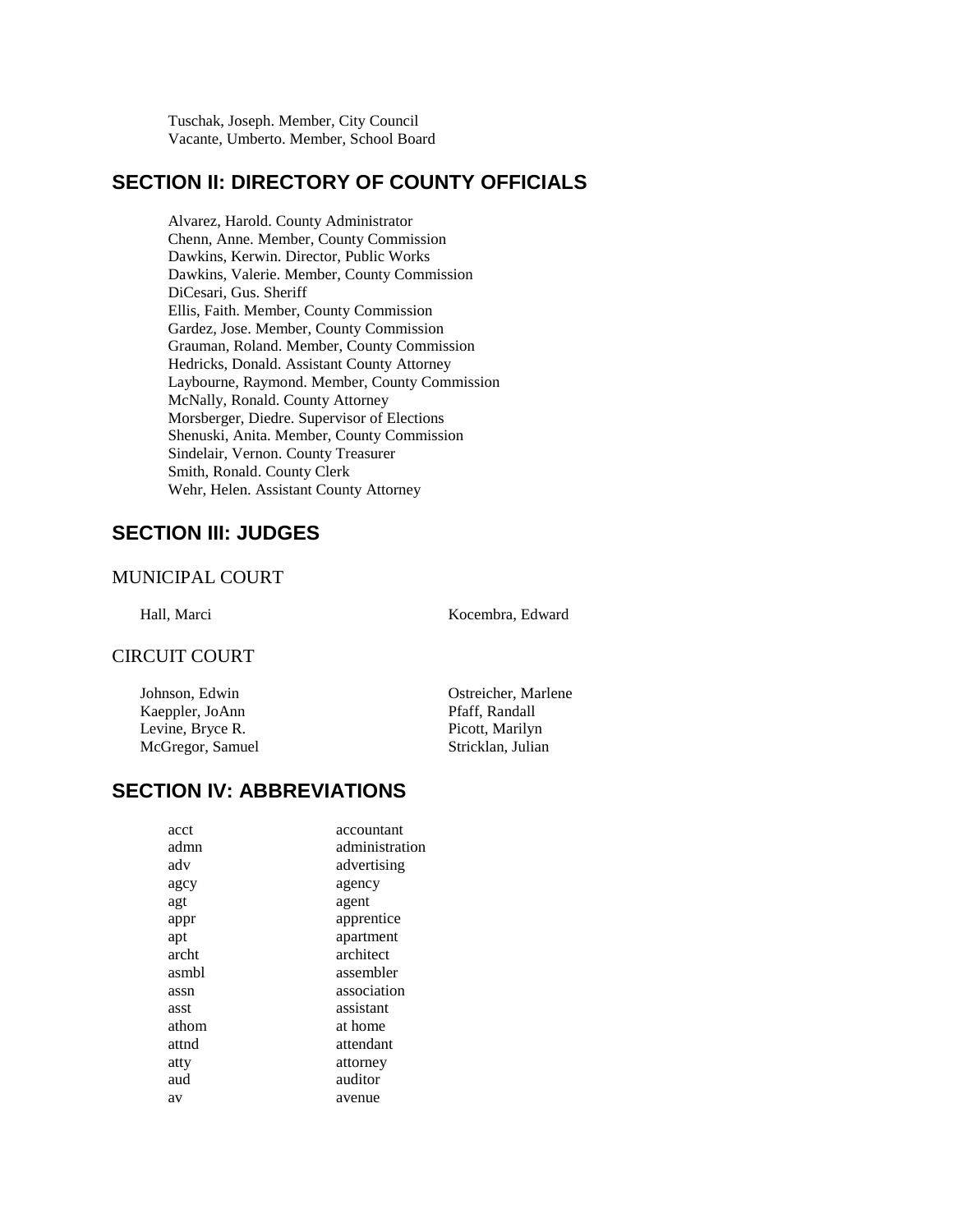Tuschak, Joseph. Member, City Council Vacante, Umberto. Member, School Board

## **SECTION II: DIRECTORY OF COUNTY OFFICIALS**

Alvarez, Harold. County Administrator Chenn, Anne. Member, County Commission Dawkins, Kerwin. Director, Public Works Dawkins, Valerie. Member, County Commission DiCesari, Gus. Sheriff Ellis, Faith. Member, County Commission Gardez, Jose. Member, County Commission Grauman, Roland. Member, County Commission Hedricks, Donald. Assistant County Attorney Laybourne, Raymond. Member, County Commission McNally, Ronald. County Attorney Morsberger, Diedre. Supervisor of Elections Shenuski, Anita. Member, County Commission Sindelair, Vernon. County Treasurer Smith, Ronald. County Clerk Wehr, Helen. Assistant County Attorney

# **SECTION III: JUDGES**

#### MUNICIPAL COURT

Hall, Marci Kocembra, Edward

#### CIRCUIT COURT

Johnson, Edwin Ostreicher, Marlene Kaeppler, JoAnn Pfaff, Randall Levine, Bryce R. Picott, Marilyn McGregor, Samuel Stricklan, Julian

## **SECTION IV: ABBREVIATIONS**

| acct  | accountant     |
|-------|----------------|
| admn  | administration |
| adv   | advertising    |
| agcy  | agency         |
| agt   | agent          |
| appr  | apprentice     |
| apt   | apartment      |
| archt | architect      |
| asmbl | assembler      |
| assn  | association    |
| asst  | assistant      |
| athom | at home        |
| attnd | attendant      |
| atty  | attorney       |
| aud   | auditor        |
| av    | avenue         |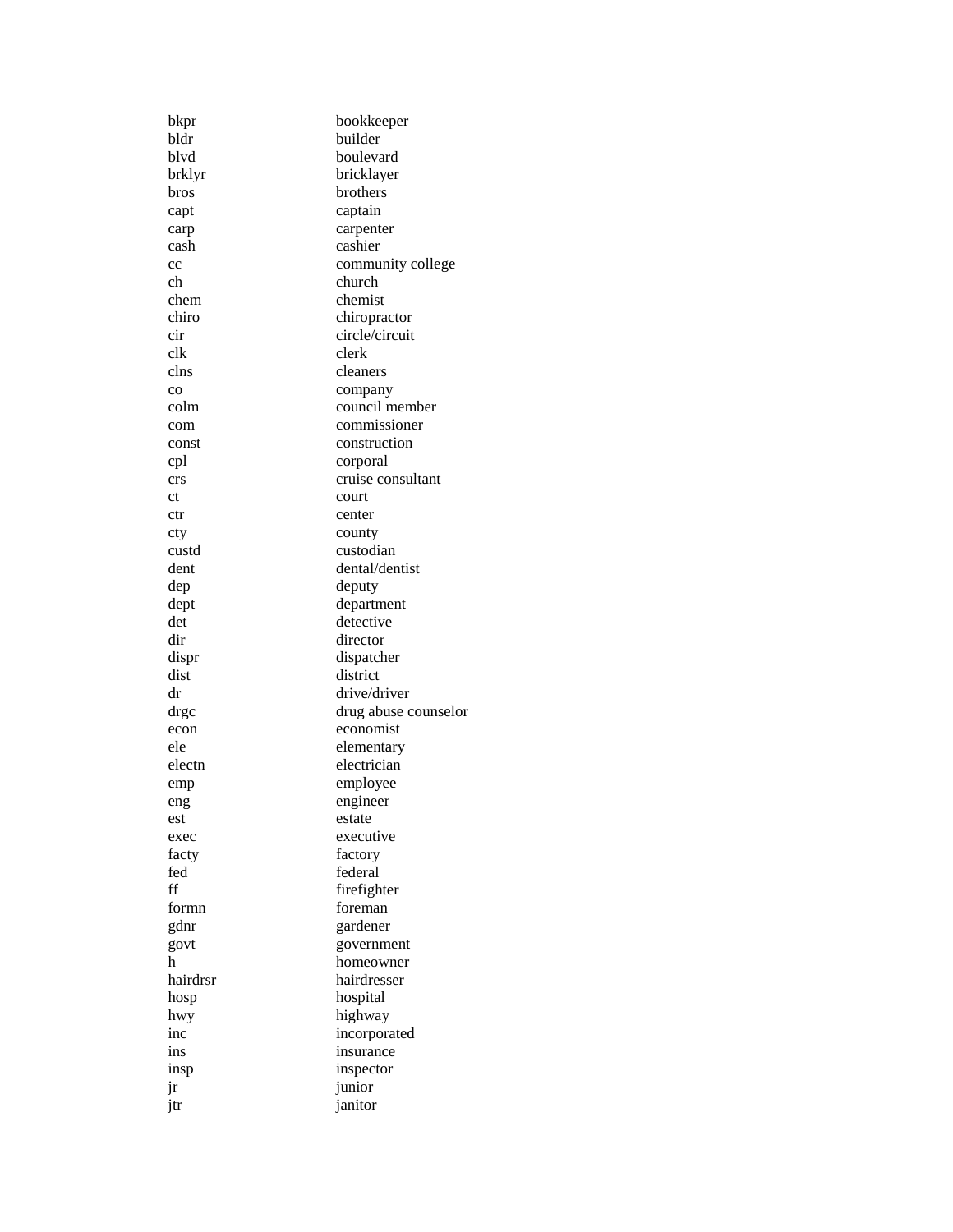| bkpr          | bookkeeper                |
|---------------|---------------------------|
| bldr          | builder                   |
| blvd          | boulevard                 |
| brklyr        | bricklayer                |
| bros          | brothers                  |
| capt          | captain                   |
| carp          | carpenter                 |
| cash          | cashier                   |
| cc            | community college         |
| ch            | church                    |
| chem          | chemist                   |
| chiro         | chiropractor              |
| cir           | circle/circuit            |
| clk           | clerk                     |
| clns          | cleaners                  |
| $_{\rm CO}$   |                           |
| colm          | company<br>council member |
| com           | commissioner              |
| const         | construction              |
|               |                           |
| cpl           | corporal                  |
| crs           | cruise consultant         |
| <sub>ct</sub> | court                     |
| ctr           | center                    |
| cty           | county                    |
| custd         | custodian                 |
| dent          | dental/dentist            |
| dep           | deputy                    |
| dept          | department                |
| det           | detective                 |
| dir           | director                  |
| dispr         | dispatcher                |
| dist          | district                  |
| dr            | drive/driver              |
| drgc          | drug abuse counselor      |
| econ          | economist                 |
| ele           | elementary                |
| electn        | electrician               |
| emp           | employee                  |
| eng           | engineer                  |
| est           | estate                    |
| exec          | executive                 |
| facty         | factory                   |
| fed           | federal                   |
| ff            | firefighter               |
| formn         | foreman                   |
| gdnr          | gardener                  |
| govt          | government                |
| h             | homeowner                 |
| hairdrsr      | hairdresser               |
| hosp          | hospital                  |
| hwy           | highway                   |
| inc           | incorporated              |
| ins           | insurance                 |
| insp          | inspector                 |
| jr            | junior                    |
| jtr           | janitor                   |
|               |                           |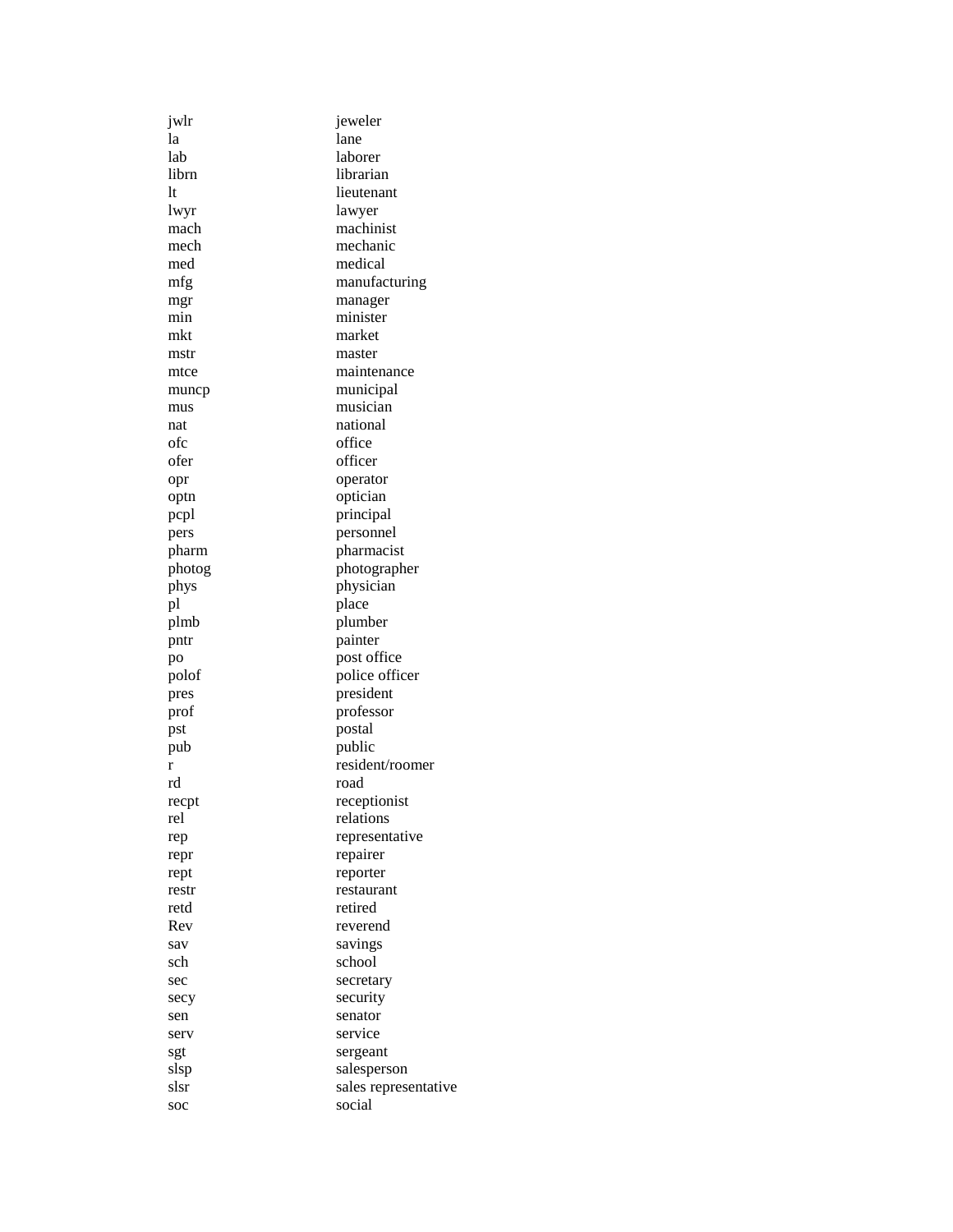| jwlr       | jeweler              |  |  |
|------------|----------------------|--|--|
| la         | lane                 |  |  |
| lab        | laborer              |  |  |
| librn      | librarian            |  |  |
| lt         | lieutenant           |  |  |
| lwyr       | lawyer               |  |  |
| mach       | machinist            |  |  |
| mech       | mechanic             |  |  |
| med        | medical              |  |  |
| mfg        | manufacturing        |  |  |
|            | manager              |  |  |
| mgr<br>min | minister             |  |  |
| mkt        | market               |  |  |
|            | master               |  |  |
| mstr       | maintenance          |  |  |
| mtce       |                      |  |  |
| muncp      | municipal            |  |  |
| mus        | musician             |  |  |
| nat        | national             |  |  |
| ofc        | office               |  |  |
| ofer       | officer              |  |  |
| opr        | operator             |  |  |
| optn       | optician             |  |  |
| pcpl       | principal            |  |  |
| pers       | personnel            |  |  |
| pharm      | pharmacist           |  |  |
| photog     | photographer         |  |  |
| phys       | physician            |  |  |
| pl         | place                |  |  |
| plmb       | plumber              |  |  |
| pntr       | painter              |  |  |
| po         | post office          |  |  |
| polof      | police officer       |  |  |
| pres       | president            |  |  |
| prof       | professor            |  |  |
| pst        | postal               |  |  |
| pub        | public               |  |  |
| r          | resident/roomer      |  |  |
| rd         | road                 |  |  |
| recpt      | receptionist         |  |  |
| rel        | relations            |  |  |
| rep        | representative       |  |  |
| repr       | repairer             |  |  |
| rept       | reporter             |  |  |
| restr      | restaurant           |  |  |
| retd       | retired              |  |  |
| Rev        | reverend             |  |  |
| sav        | savings              |  |  |
| sch        | school               |  |  |
|            | secretary            |  |  |
| sec        |                      |  |  |
| secy       | security             |  |  |
| sen        | senator              |  |  |
| serv       | service              |  |  |
| sgt        | sergeant             |  |  |
| slsp       | salesperson          |  |  |
| slsr       | sales representative |  |  |
| soc        | social               |  |  |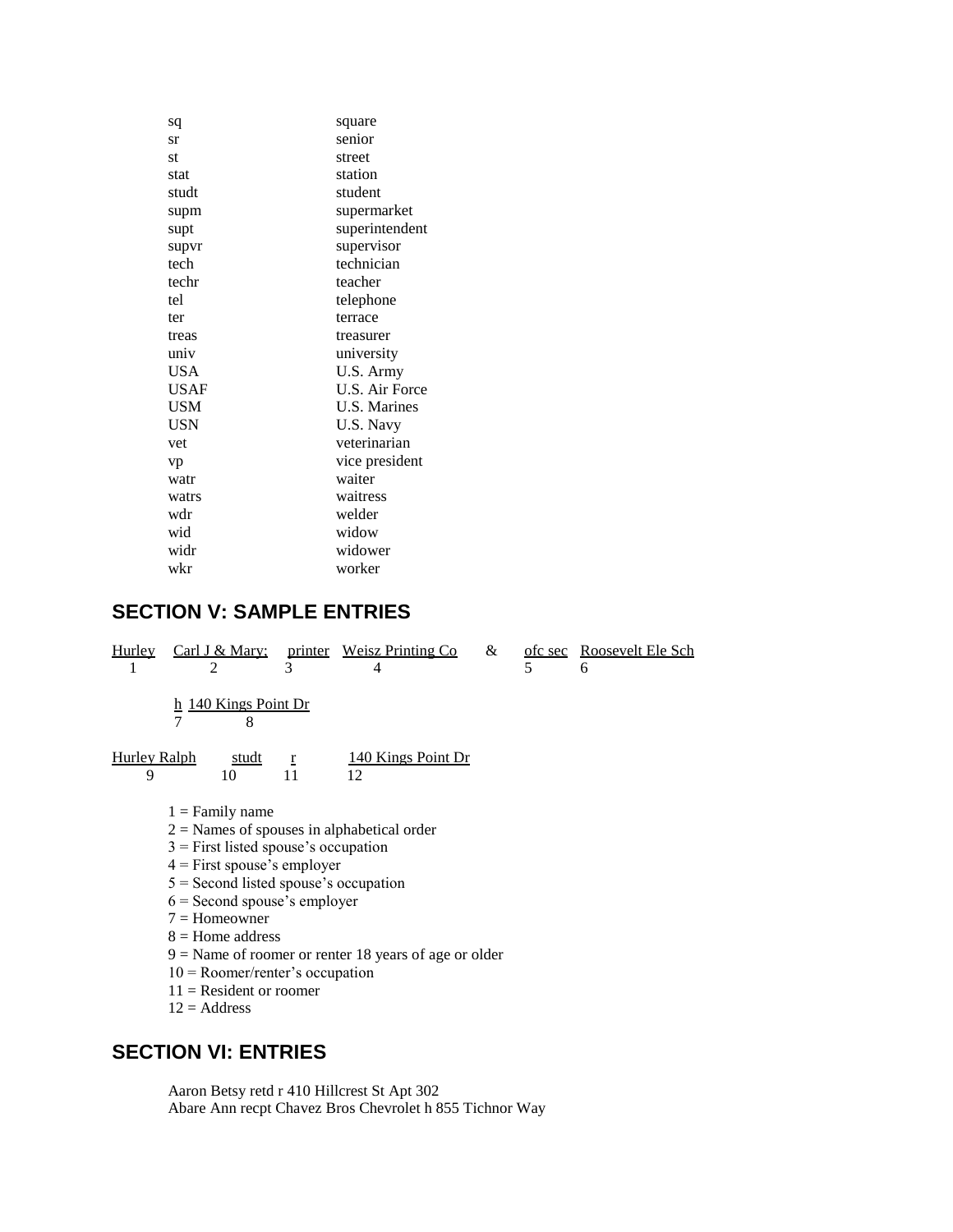| square              |
|---------------------|
| senior              |
| street              |
| station             |
| student             |
| supermarket         |
| superintendent      |
| supervisor          |
| technician          |
| teacher             |
| telephone           |
| terrace             |
| treasurer           |
| university          |
| U.S. Army           |
| U.S. Air Force      |
| <b>U.S. Marines</b> |
| U.S. Navy           |
| veterinarian        |
| vice president      |
| waiter              |
| waitress            |
| welder              |
| widow               |
| widower             |
| worker              |
|                     |

# **SECTION V: SAMPLE ENTRIES**

| <b>Hurley</b>            | $\mathfrak{D}$                               | 3                  | Carl J & Mary; printer Weisz Printing Co<br>4           | & | $\overline{\phantom{0}}$ | ofc sec Roosevelt Ele Sch<br>6 |  |
|--------------------------|----------------------------------------------|--------------------|---------------------------------------------------------|---|--------------------------|--------------------------------|--|
|                          | h 140 Kings Point Dr<br>$\overline{7}$<br>8  |                    |                                                         |   |                          |                                |  |
| <b>Hurley Ralph</b><br>9 | studt<br>10                                  | $\mathbf{r}$<br>11 | 140 Kings Point Dr<br>12                                |   |                          |                                |  |
|                          | $1 =$ Family name                            |                    |                                                         |   |                          |                                |  |
|                          | $2$ = Names of spouses in alphabetical order |                    |                                                         |   |                          |                                |  |
|                          | $3$ = First listed spouse's occupation       |                    |                                                         |   |                          |                                |  |
|                          | $4 =$ First spouse's employer                |                    |                                                         |   |                          |                                |  |
|                          | $5 =$ Second listed spouse's occupation      |                    |                                                         |   |                          |                                |  |
|                          | $6 =$ Second spouse's employer               |                    |                                                         |   |                          |                                |  |
|                          | $7 =$ Homeowner                              |                    |                                                         |   |                          |                                |  |
|                          | $8 =$ Home address                           |                    |                                                         |   |                          |                                |  |
|                          |                                              |                    | $9$ = Name of roomer or renter 18 years of age or older |   |                          |                                |  |
|                          | $10 =$ Roomer/renter's occupation            |                    |                                                         |   |                          |                                |  |
|                          | $11 =$ Resident or roomer                    |                    |                                                         |   |                          |                                |  |
|                          | $12$ = Address                               |                    |                                                         |   |                          |                                |  |

# **SECTION VI: ENTRIES**

Aaron Betsy retd r 410 Hillcrest St Apt 302 Abare Ann recpt Chavez Bros Chevrolet h 855 Tichnor Way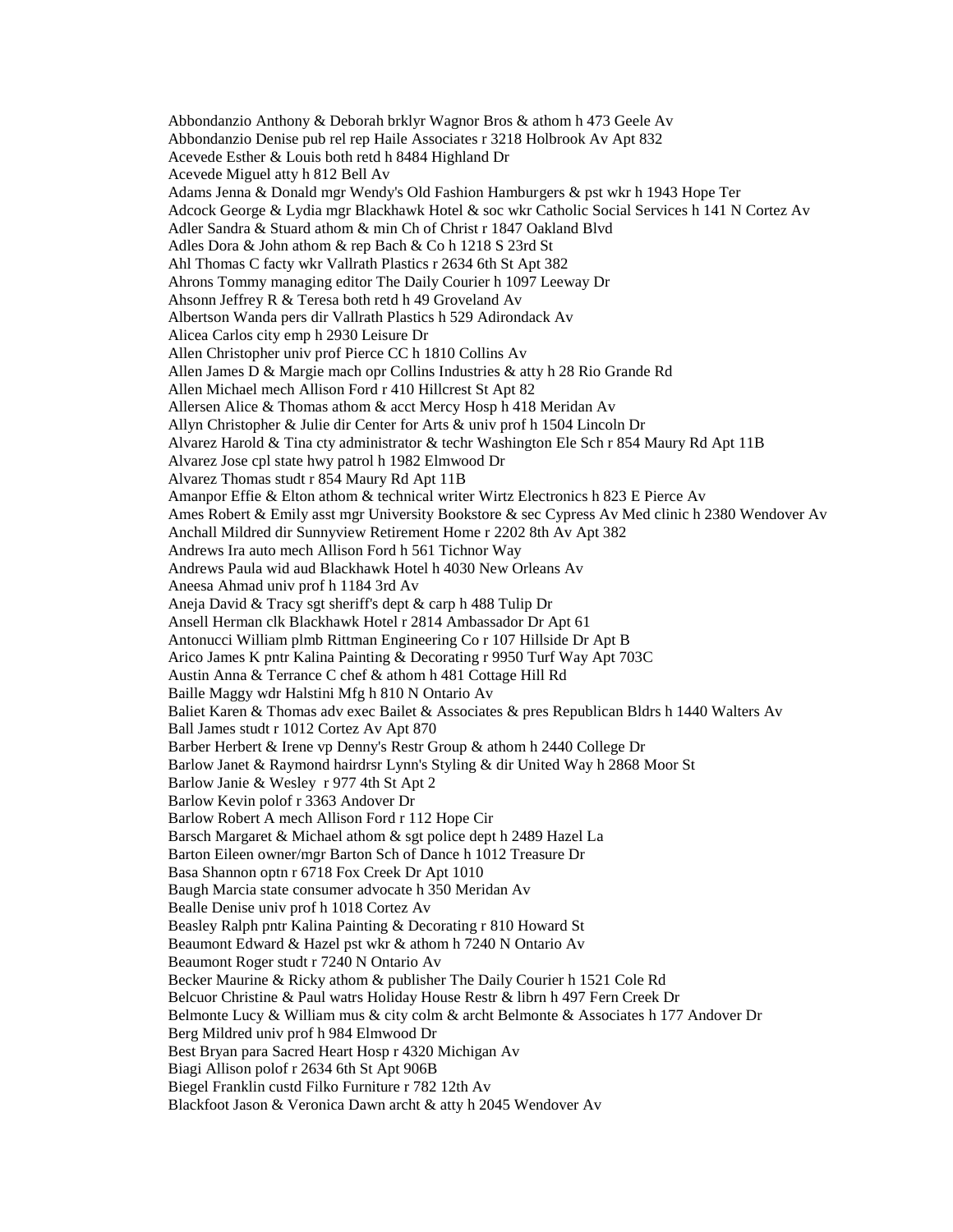Abbondanzio Anthony & Deborah brklyr Wagnor Bros & athom h 473 Geele Av Abbondanzio Denise pub rel rep Haile Associates r 3218 Holbrook Av Apt 832 Acevede Esther & Louis both retd h 8484 Highland Dr Acevede Miguel atty h 812 Bell Av Adams Jenna & Donald mgr Wendy's Old Fashion Hamburgers & pst wkr h 1943 Hope Ter Adcock George & Lydia mgr Blackhawk Hotel & soc wkr Catholic Social Services h 141 N Cortez Av Adler Sandra & Stuard athom & min Ch of Christ r 1847 Oakland Blvd Adles Dora & John athom & rep Bach & Co h 1218 S 23rd St Ahl Thomas C facty wkr Vallrath Plastics r 2634 6th St Apt 382 Ahrons Tommy managing editor The Daily Courier h 1097 Leeway Dr Ahsonn Jeffrey R & Teresa both retd h 49 Groveland Av Albertson Wanda pers dir Vallrath Plastics h 529 Adirondack Av Alicea Carlos city emp h 2930 Leisure Dr Allen Christopher univ prof Pierce CC h 1810 Collins Av Allen James D & Margie mach opr Collins Industries & atty h 28 Rio Grande Rd Allen Michael mech Allison Ford r 410 Hillcrest St Apt 82 Allersen Alice & Thomas athom & acct Mercy Hosp h 418 Meridan Av Allyn Christopher & Julie dir Center for Arts & univ prof h 1504 Lincoln Dr Alvarez Harold & Tina cty administrator & techr Washington Ele Sch r 854 Maury Rd Apt 11B Alvarez Jose cpl state hwy patrol h 1982 Elmwood Dr Alvarez Thomas studt r 854 Maury Rd Apt 11B Amanpor Effie & Elton athom & technical writer Wirtz Electronics h 823 E Pierce Av Ames Robert & Emily asst mgr University Bookstore & sec Cypress Av Med clinic h 2380 Wendover Av Anchall Mildred dir Sunnyview Retirement Home r 2202 8th Av Apt 382 Andrews Ira auto mech Allison Ford h 561 Tichnor Way Andrews Paula wid aud Blackhawk Hotel h 4030 New Orleans Av Aneesa Ahmad univ prof h 1184 3rd Av Aneja David & Tracy sgt sheriff's dept & carp h 488 Tulip Dr Ansell Herman clk Blackhawk Hotel r 2814 Ambassador Dr Apt 61 Antonucci William plmb Rittman Engineering Co r 107 Hillside Dr Apt B Arico James K pntr Kalina Painting & Decorating r 9950 Turf Way Apt 703C Austin Anna & Terrance C chef & athom h 481 Cottage Hill Rd Baille Maggy wdr Halstini Mfg h 810 N Ontario Av Baliet Karen & Thomas adv exec Bailet & Associates & pres Republican Bldrs h 1440 Walters Av Ball James studt r 1012 Cortez Av Apt 870 Barber Herbert & Irene vp Denny's Restr Group & athom h 2440 College Dr Barlow Janet & Raymond hairdrsr Lynn's Styling & dir United Way h 2868 Moor St Barlow Janie & Wesley r 977 4th St Apt 2 Barlow Kevin polof r 3363 Andover Dr Barlow Robert A mech Allison Ford r 112 Hope Cir Barsch Margaret & Michael athom & sgt police dept h 2489 Hazel La Barton Eileen owner/mgr Barton Sch of Dance h 1012 Treasure Dr Basa Shannon optn r 6718 Fox Creek Dr Apt 1010 Baugh Marcia state consumer advocate h 350 Meridan Av Bealle Denise univ prof h 1018 Cortez Av Beasley Ralph pntr Kalina Painting & Decorating r 810 Howard St Beaumont Edward & Hazel pst wkr & athom h 7240 N Ontario Av Beaumont Roger studt r 7240 N Ontario Av Becker Maurine & Ricky athom & publisher The Daily Courier h 1521 Cole Rd Belcuor Christine & Paul watrs Holiday House Restr & librn h 497 Fern Creek Dr Belmonte Lucy & William mus & city colm & archt Belmonte & Associates h 177 Andover Dr Berg Mildred univ prof h 984 Elmwood Dr Best Bryan para Sacred Heart Hosp r 4320 Michigan Av Biagi Allison polof r 2634 6th St Apt 906B Biegel Franklin custd Filko Furniture r 782 12th Av Blackfoot Jason & Veronica Dawn archt & atty h 2045 Wendover Av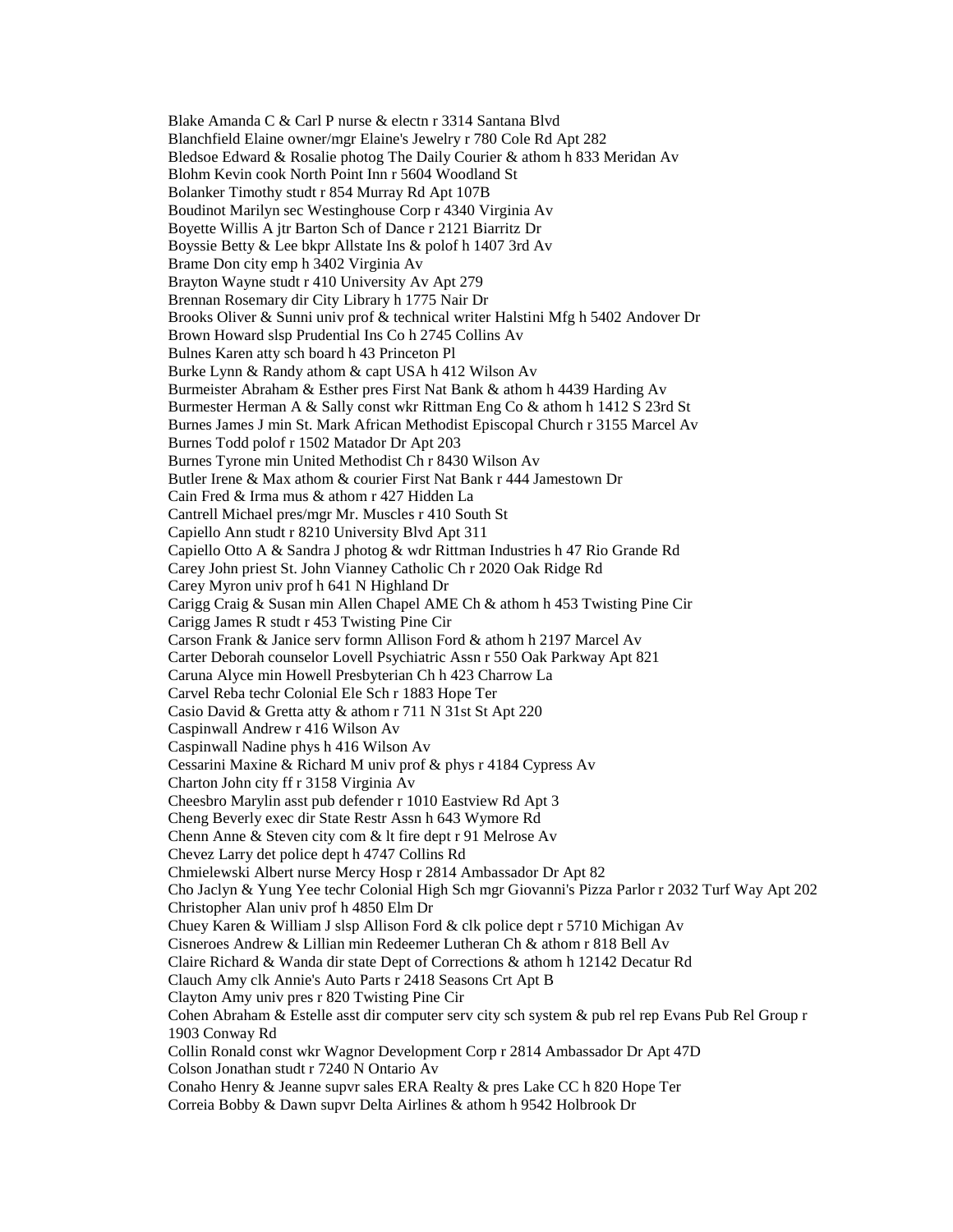Blake Amanda C & Carl P nurse & electn r 3314 Santana Blvd Blanchfield Elaine owner/mgr Elaine's Jewelry r 780 Cole Rd Apt 282 Bledsoe Edward & Rosalie photog The Daily Courier & athom h 833 Meridan Av Blohm Kevin cook North Point Inn r 5604 Woodland St Bolanker Timothy studt r 854 Murray Rd Apt 107B Boudinot Marilyn sec Westinghouse Corp r 4340 Virginia Av Boyette Willis A jtr Barton Sch of Dance r 2121 Biarritz Dr Boyssie Betty & Lee bkpr Allstate Ins & polof h 1407 3rd Av Brame Don city emp h 3402 Virginia Av Brayton Wayne studt r 410 University Av Apt 279 Brennan Rosemary dir City Library h 1775 Nair Dr Brooks Oliver & Sunni univ prof & technical writer Halstini Mfg h 5402 Andover Dr Brown Howard slsp Prudential Ins Co h 2745 Collins Av Bulnes Karen atty sch board h 43 Princeton Pl Burke Lynn & Randy athom & capt USA h 412 Wilson Av Burmeister Abraham & Esther pres First Nat Bank & athom h 4439 Harding Av Burmester Herman A & Sally const wkr Rittman Eng Co & athom h 1412 S 23rd St Burnes James J min St. Mark African Methodist Episcopal Church r 3155 Marcel Av Burnes Todd polof r 1502 Matador Dr Apt 203 Burnes Tyrone min United Methodist Ch r 8430 Wilson Av Butler Irene & Max athom & courier First Nat Bank r 444 Jamestown Dr Cain Fred & Irma mus & athom r 427 Hidden La Cantrell Michael pres/mgr Mr. Muscles r 410 South St Capiello Ann studt r 8210 University Blvd Apt 311 Capiello Otto A & Sandra J photog & wdr Rittman Industries h 47 Rio Grande Rd Carey John priest St. John Vianney Catholic Ch r 2020 Oak Ridge Rd Carey Myron univ prof h 641 N Highland Dr Carigg Craig & Susan min Allen Chapel AME Ch & athom h 453 Twisting Pine Cir Carigg James R studt r 453 Twisting Pine Cir Carson Frank & Janice serv formn Allison Ford & athom h 2197 Marcel Av Carter Deborah counselor Lovell Psychiatric Assn r 550 Oak Parkway Apt 821 Caruna Alyce min Howell Presbyterian Ch h 423 Charrow La Carvel Reba techr Colonial Ele Sch r 1883 Hope Ter Casio David & Gretta atty & athom r 711 N 31st St Apt 220 Caspinwall Andrew r 416 Wilson Av Caspinwall Nadine phys h 416 Wilson Av Cessarini Maxine & Richard M univ prof & phys r 4184 Cypress Av Charton John city ff r 3158 Virginia Av Cheesbro Marylin asst pub defender r 1010 Eastview Rd Apt 3 Cheng Beverly exec dir State Restr Assn h 643 Wymore Rd Chenn Anne & Steven city com & lt fire dept r 91 Melrose Av Chevez Larry det police dept h 4747 Collins Rd Chmielewski Albert nurse Mercy Hosp r 2814 Ambassador Dr Apt 82 Cho Jaclyn & Yung Yee techr Colonial High Sch mgr Giovanni's Pizza Parlor r 2032 Turf Way Apt 202 Christopher Alan univ prof h 4850 Elm Dr Chuey Karen & William J slsp Allison Ford & clk police dept r 5710 Michigan Av Cisneroes Andrew & Lillian min Redeemer Lutheran Ch & athom r 818 Bell Av Claire Richard & Wanda dir state Dept of Corrections & athom h 12142 Decatur Rd Clauch Amy clk Annie's Auto Parts r 2418 Seasons Crt Apt B Clayton Amy univ pres r 820 Twisting Pine Cir Cohen Abraham & Estelle asst dir computer serv city sch system & pub rel rep Evans Pub Rel Group r 1903 Conway Rd Collin Ronald const wkr Wagnor Development Corp r 2814 Ambassador Dr Apt 47D Colson Jonathan studt r 7240 N Ontario Av Conaho Henry & Jeanne supvr sales ERA Realty & pres Lake CC h 820 Hope Ter Correia Bobby & Dawn supvr Delta Airlines & athom h 9542 Holbrook Dr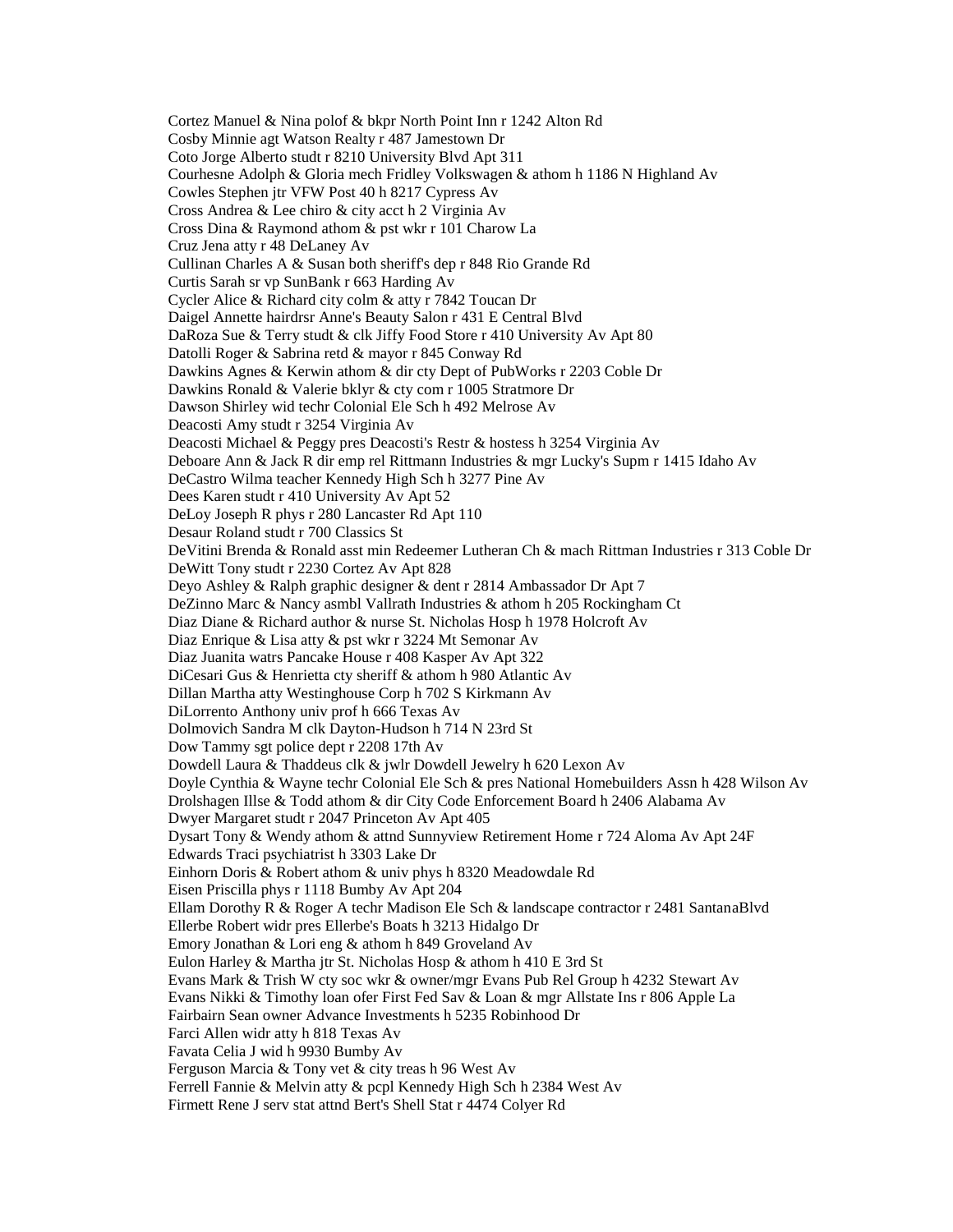Cortez Manuel & Nina polof & bkpr North Point Inn r 1242 Alton Rd Cosby Minnie agt Watson Realty r 487 Jamestown Dr Coto Jorge Alberto studt r 8210 University Blvd Apt 311 Courhesne Adolph & Gloria mech Fridley Volkswagen & athom h 1186 N Highland Av Cowles Stephen jtr VFW Post 40 h 8217 Cypress Av Cross Andrea & Lee chiro & city acct h 2 Virginia Av Cross Dina & Raymond athom & pst wkr r 101 Charow La Cruz Jena atty r 48 DeLaney Av Cullinan Charles A & Susan both sheriff's dep r 848 Rio Grande Rd Curtis Sarah sr vp SunBank r 663 Harding Av Cycler Alice & Richard city colm & atty r 7842 Toucan Dr Daigel Annette hairdrsr Anne's Beauty Salon r 431 E Central Blvd DaRoza Sue & Terry studt & clk Jiffy Food Store r 410 University Av Apt 80 Datolli Roger & Sabrina retd & mayor r 845 Conway Rd Dawkins Agnes & Kerwin athom & dir cty Dept of PubWorks r 2203 Coble Dr Dawkins Ronald & Valerie bklyr & cty com r 1005 Stratmore Dr Dawson Shirley wid techr Colonial Ele Sch h 492 Melrose Av Deacosti Amy studt r 3254 Virginia Av Deacosti Michael & Peggy pres Deacosti's Restr & hostess h 3254 Virginia Av Deboare Ann & Jack R dir emp rel Rittmann Industries & mgr Lucky's Supm r 1415 Idaho Av DeCastro Wilma teacher Kennedy High Sch h 3277 Pine Av Dees Karen studt r 410 University Av Apt 52 DeLoy Joseph R phys r 280 Lancaster Rd Apt 110 Desaur Roland studt r 700 Classics St DeVitini Brenda & Ronald asst min Redeemer Lutheran Ch & mach Rittman Industries r 313 Coble Dr DeWitt Tony studt r 2230 Cortez Av Apt 828 Deyo Ashley & Ralph graphic designer & dent r 2814 Ambassador Dr Apt 7 DeZinno Marc & Nancy asmbl Vallrath Industries & athom h 205 Rockingham Ct Diaz Diane & Richard author & nurse St. Nicholas Hosp h 1978 Holcroft Av Diaz Enrique & Lisa atty & pst wkr r 3224 Mt Semonar Av Diaz Juanita watrs Pancake House r 408 Kasper Av Apt 322 DiCesari Gus & Henrietta cty sheriff & athom h 980 Atlantic Av Dillan Martha atty Westinghouse Corp h 702 S Kirkmann Av DiLorrento Anthony univ prof h 666 Texas Av Dolmovich Sandra M clk Dayton-Hudson h 714 N 23rd St Dow Tammy sgt police dept r 2208 17th Av Dowdell Laura & Thaddeus clk & jwlr Dowdell Jewelry h 620 Lexon Av Doyle Cynthia & Wayne techr Colonial Ele Sch & pres National Homebuilders Assn h 428 Wilson Av Drolshagen Illse & Todd athom & dir City Code Enforcement Board h 2406 Alabama Av Dwyer Margaret studt r 2047 Princeton Av Apt 405 Dysart Tony & Wendy athom & attnd Sunnyview Retirement Home r 724 Aloma Av Apt 24F Edwards Traci psychiatrist h 3303 Lake Dr Einhorn Doris & Robert athom & univ phys h 8320 Meadowdale Rd Eisen Priscilla phys r 1118 Bumby Av Apt 204 Ellam Dorothy R & Roger A techr Madison Ele Sch & landscape contractor r 2481 SantanaBlvd Ellerbe Robert widr pres Ellerbe's Boats h 3213 Hidalgo Dr Emory Jonathan & Lori eng & athom h 849 Groveland Av Eulon Harley & Martha jtr St. Nicholas Hosp & athom h 410 E 3rd St Evans Mark & Trish W cty soc wkr & owner/mgr Evans Pub Rel Group h 4232 Stewart Av Evans Nikki & Timothy loan ofer First Fed Sav & Loan & mgr Allstate Ins r 806 Apple La Fairbairn Sean owner Advance Investments h 5235 Robinhood Dr Farci Allen widr atty h 818 Texas Av Favata Celia J wid h 9930 Bumby Av Ferguson Marcia & Tony vet & city treas h 96 West Av Ferrell Fannie & Melvin atty & pcpl Kennedy High Sch h 2384 West Av Firmett Rene J serv stat attnd Bert's Shell Stat r 4474 Colyer Rd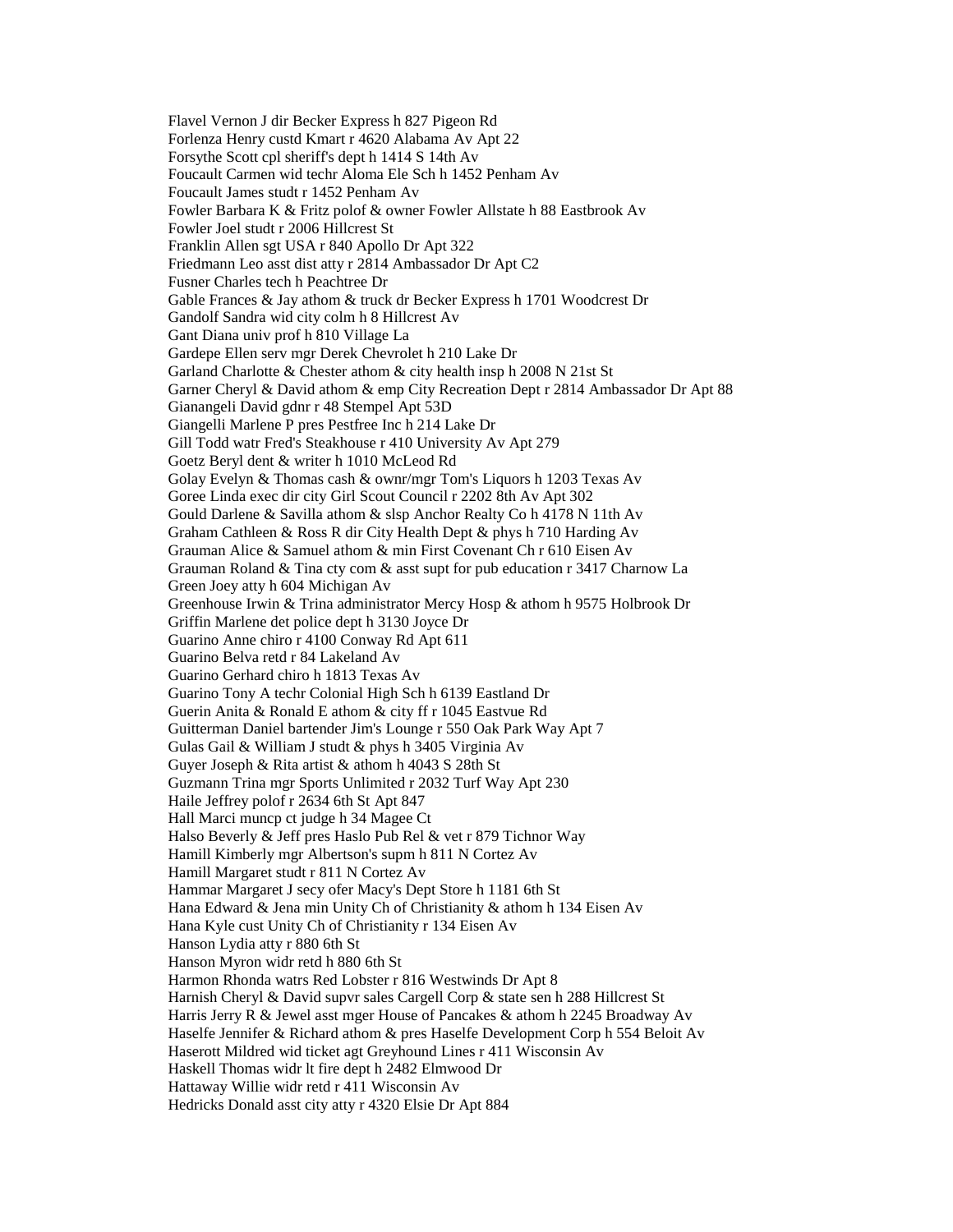Flavel Vernon J dir Becker Express h 827 Pigeon Rd Forlenza Henry custd Kmart r 4620 Alabama Av Apt 22 Forsythe Scott cpl sheriff's dept h 1414 S 14th Av Foucault Carmen wid techr Aloma Ele Sch h 1452 Penham Av Foucault James studt r 1452 Penham Av Fowler Barbara K & Fritz polof & owner Fowler Allstate h 88 Eastbrook Av Fowler Joel studt r 2006 Hillcrest St Franklin Allen sgt USA r 840 Apollo Dr Apt 322 Friedmann Leo asst dist atty r 2814 Ambassador Dr Apt C2 Fusner Charles tech h Peachtree Dr Gable Frances & Jay athom & truck dr Becker Express h 1701 Woodcrest Dr Gandolf Sandra wid city colm h 8 Hillcrest Av Gant Diana univ prof h 810 Village La Gardepe Ellen serv mgr Derek Chevrolet h 210 Lake Dr Garland Charlotte & Chester athom & city health insp h 2008 N 21st St Garner Cheryl & David athom & emp City Recreation Dept r 2814 Ambassador Dr Apt 88 Gianangeli David gdnr r 48 Stempel Apt 53D Giangelli Marlene P pres Pestfree Inc h 214 Lake Dr Gill Todd watr Fred's Steakhouse r 410 University Av Apt 279 Goetz Beryl dent & writer h 1010 McLeod Rd Golay Evelyn & Thomas cash & ownr/mgr Tom's Liquors h 1203 Texas Av Goree Linda exec dir city Girl Scout Council r 2202 8th Av Apt 302 Gould Darlene & Savilla athom & slsp Anchor Realty Co h 4178 N 11th Av Graham Cathleen & Ross R dir City Health Dept & phys h 710 Harding Av Grauman Alice & Samuel athom & min First Covenant Ch r 610 Eisen Av Grauman Roland & Tina cty com & asst supt for pub education r 3417 Charnow La Green Joey atty h 604 Michigan Av Greenhouse Irwin & Trina administrator Mercy Hosp & athom h 9575 Holbrook Dr Griffin Marlene det police dept h 3130 Joyce Dr Guarino Anne chiro r 4100 Conway Rd Apt 611 Guarino Belva retd r 84 Lakeland Av Guarino Gerhard chiro h 1813 Texas Av Guarino Tony A techr Colonial High Sch h 6139 Eastland Dr Guerin Anita & Ronald E athom & city ff r 1045 Eastvue Rd Guitterman Daniel bartender Jim's Lounge r 550 Oak Park Way Apt 7 Gulas Gail & William J studt & phys h 3405 Virginia Av Guyer Joseph & Rita artist & athom h 4043 S 28th St Guzmann Trina mgr Sports Unlimited r 2032 Turf Way Apt 230 Haile Jeffrey polof r 2634 6th St Apt 847 Hall Marci muncp ct judge h 34 Magee Ct Halso Beverly & Jeff pres Haslo Pub Rel & vet r 879 Tichnor Way Hamill Kimberly mgr Albertson's supm h 811 N Cortez Av Hamill Margaret studt r 811 N Cortez Av Hammar Margaret J secy ofer Macy's Dept Store h 1181 6th St Hana Edward & Jena min Unity Ch of Christianity & athom h 134 Eisen Av Hana Kyle cust Unity Ch of Christianity r 134 Eisen Av Hanson Lydia atty r 880 6th St Hanson Myron widr retd h 880 6th St Harmon Rhonda watrs Red Lobster r 816 Westwinds Dr Apt 8 Harnish Cheryl & David supvr sales Cargell Corp & state sen h 288 Hillcrest St Harris Jerry R & Jewel asst mger House of Pancakes & athom h 2245 Broadway Av Haselfe Jennifer & Richard athom & pres Haselfe Development Corp h 554 Beloit Av Haserott Mildred wid ticket agt Greyhound Lines r 411 Wisconsin Av Haskell Thomas widr lt fire dept h 2482 Elmwood Dr Hattaway Willie widr retd r 411 Wisconsin Av Hedricks Donald asst city atty r 4320 Elsie Dr Apt 884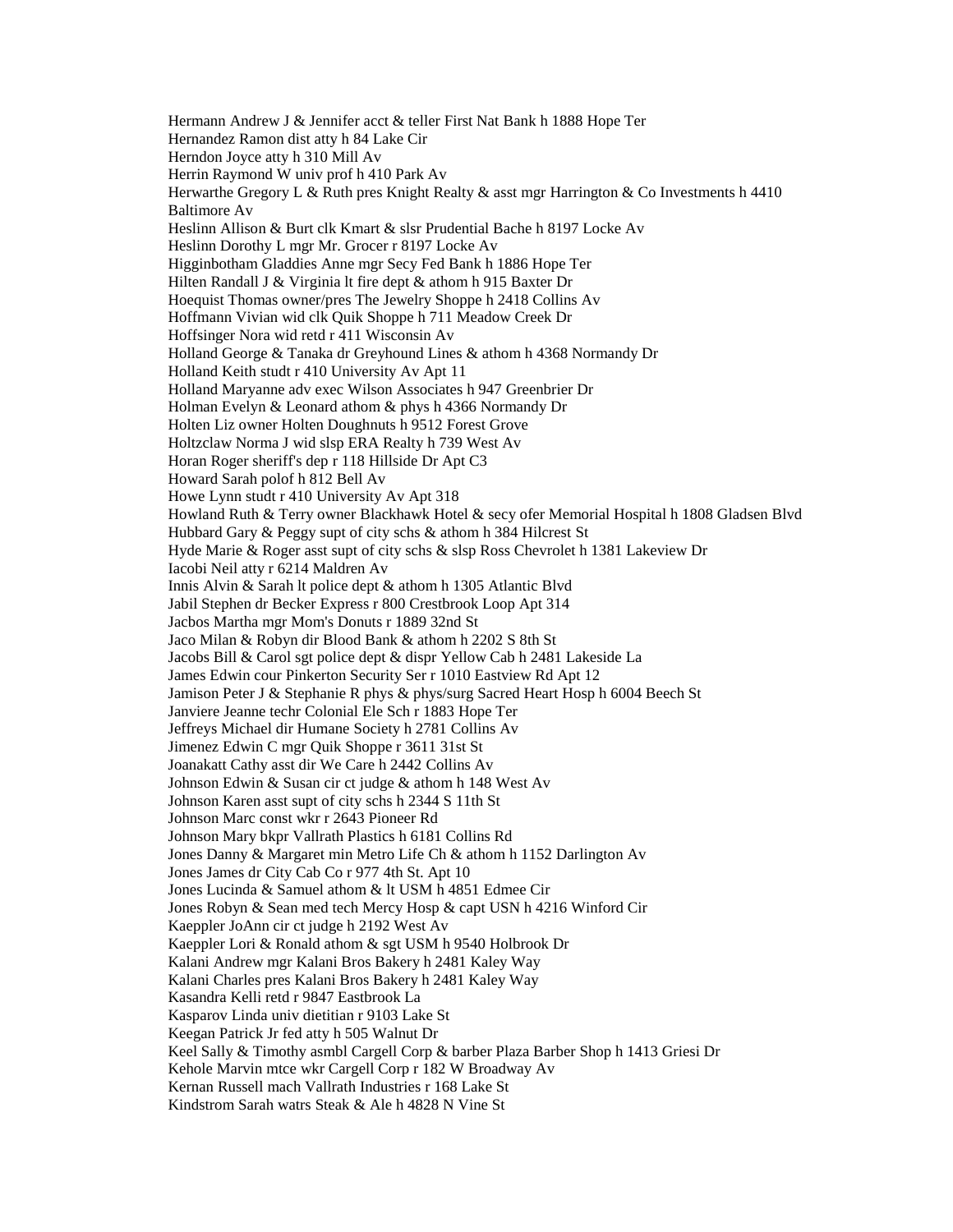Hermann Andrew J & Jennifer acct & teller First Nat Bank h 1888 Hope Ter Hernandez Ramon dist atty h 84 Lake Cir Herndon Joyce atty h 310 Mill Av Herrin Raymond W univ prof h 410 Park Av Herwarthe Gregory L & Ruth pres Knight Realty & asst mgr Harrington & Co Investments h 4410 Baltimore Av Heslinn Allison & Burt clk Kmart & slsr Prudential Bache h 8197 Locke Av Heslinn Dorothy L mgr Mr. Grocer r 8197 Locke Av Higginbotham Gladdies Anne mgr Secy Fed Bank h 1886 Hope Ter Hilten Randall J & Virginia lt fire dept & athom h 915 Baxter Dr Hoequist Thomas owner/pres The Jewelry Shoppe h 2418 Collins Av Hoffmann Vivian wid clk Quik Shoppe h 711 Meadow Creek Dr Hoffsinger Nora wid retd r 411 Wisconsin Av Holland George & Tanaka dr Greyhound Lines & athom h 4368 Normandy Dr Holland Keith studt r 410 University Av Apt 11 Holland Maryanne adv exec Wilson Associates h 947 Greenbrier Dr Holman Evelyn & Leonard athom & phys h 4366 Normandy Dr Holten Liz owner Holten Doughnuts h 9512 Forest Grove Holtzclaw Norma J wid slsp ERA Realty h 739 West Av Horan Roger sheriff's dep r 118 Hillside Dr Apt C3 Howard Sarah polof h 812 Bell Av Howe Lynn studt r 410 University Av Apt 318 Howland Ruth & Terry owner Blackhawk Hotel & secy ofer Memorial Hospital h 1808 Gladsen Blvd Hubbard Gary & Peggy supt of city schs & athom h 384 Hilcrest St Hyde Marie & Roger asst supt of city schs & slsp Ross Chevrolet h 1381 Lakeview Dr Iacobi Neil atty r 6214 Maldren Av Innis Alvin & Sarah lt police dept & athom h 1305 Atlantic Blvd Jabil Stephen dr Becker Express r 800 Crestbrook Loop Apt 314 Jacbos Martha mgr Mom's Donuts r 1889 32nd St Jaco Milan & Robyn dir Blood Bank & athom h 2202 S 8th St Jacobs Bill & Carol sgt police dept & dispr Yellow Cab h 2481 Lakeside La James Edwin cour Pinkerton Security Ser r 1010 Eastview Rd Apt 12 Jamison Peter J & Stephanie R phys & phys/surg Sacred Heart Hosp h 6004 Beech St Janviere Jeanne techr Colonial Ele Sch r 1883 Hope Ter Jeffreys Michael dir Humane Society h 2781 Collins Av Jimenez Edwin C mgr Quik Shoppe r 3611 31st St Joanakatt Cathy asst dir We Care h 2442 Collins Av Johnson Edwin & Susan cir ct judge & athom h 148 West Av Johnson Karen asst supt of city schs h 2344 S 11th St Johnson Marc const wkr r 2643 Pioneer Rd Johnson Mary bkpr Vallrath Plastics h 6181 Collins Rd Jones Danny & Margaret min Metro Life Ch & athom h 1152 Darlington Av Jones James dr City Cab Co r 977 4th St. Apt 10 Jones Lucinda & Samuel athom & lt USM h 4851 Edmee Cir Jones Robyn & Sean med tech Mercy Hosp & capt USN h 4216 Winford Cir Kaeppler JoAnn cir ct judge h 2192 West Av Kaeppler Lori & Ronald athom & sgt USM h 9540 Holbrook Dr Kalani Andrew mgr Kalani Bros Bakery h 2481 Kaley Way Kalani Charles pres Kalani Bros Bakery h 2481 Kaley Way Kasandra Kelli retd r 9847 Eastbrook La Kasparov Linda univ dietitian r 9103 Lake St Keegan Patrick Jr fed atty h 505 Walnut Dr Keel Sally & Timothy asmbl Cargell Corp & barber Plaza Barber Shop h 1413 Griesi Dr Kehole Marvin mtce wkr Cargell Corp r 182 W Broadway Av Kernan Russell mach Vallrath Industries r 168 Lake St Kindstrom Sarah watrs Steak & Ale h 4828 N Vine St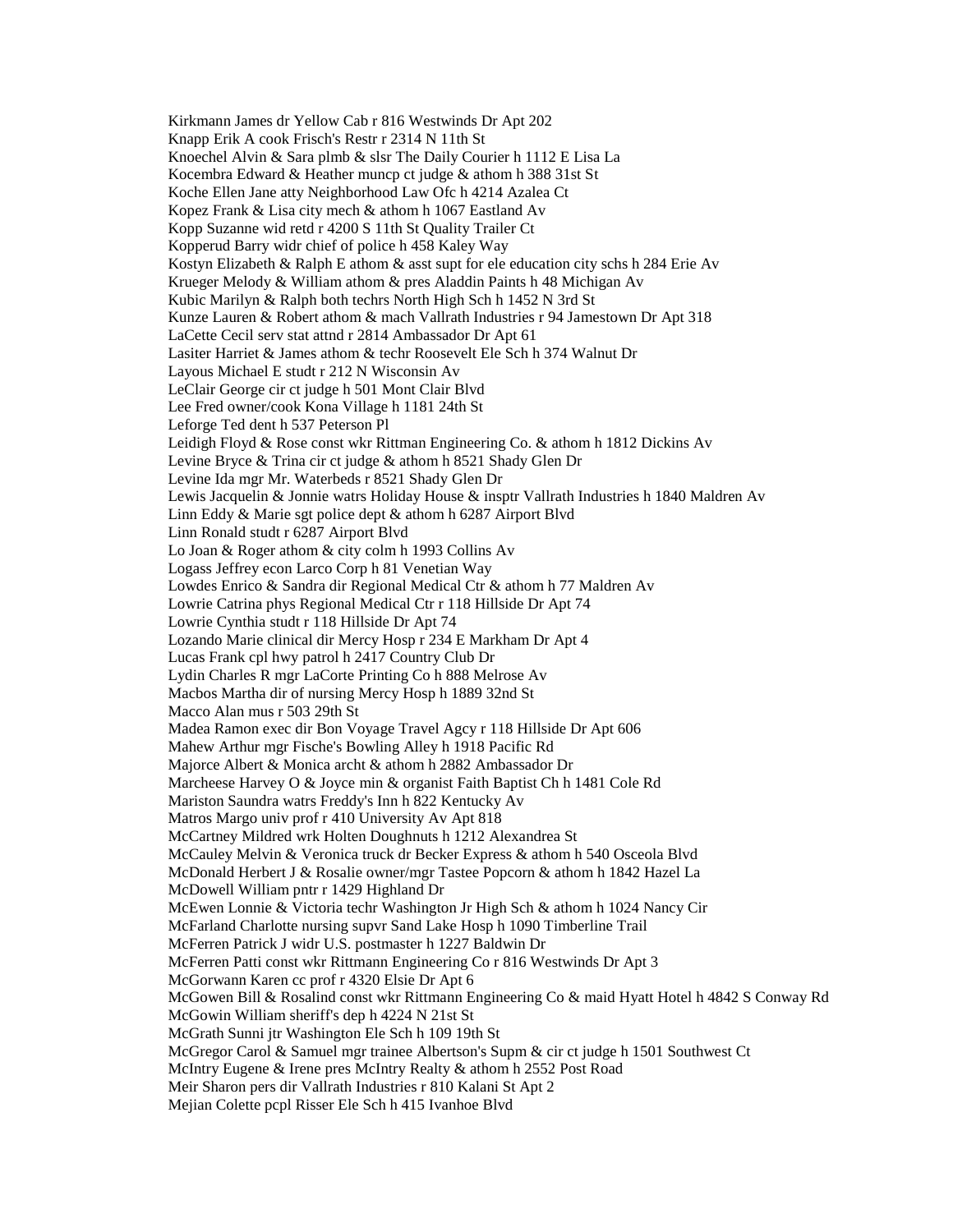Kirkmann James dr Yellow Cab r 816 Westwinds Dr Apt 202 Knapp Erik A cook Frisch's Restr r 2314 N 11th St Knoechel Alvin & Sara plmb & slsr The Daily Courier h 1112 E Lisa La Kocembra Edward & Heather muncp ct judge & athom h 388 31st St Koche Ellen Jane atty Neighborhood Law Ofc h 4214 Azalea Ct Kopez Frank & Lisa city mech & athom h 1067 Eastland Av Kopp Suzanne wid retd r 4200 S 11th St Quality Trailer Ct Kopperud Barry widr chief of police h 458 Kaley Way Kostyn Elizabeth & Ralph E athom & asst supt for ele education city schs h 284 Erie Av Krueger Melody & William athom & pres Aladdin Paints h 48 Michigan Av Kubic Marilyn & Ralph both techrs North High Sch h 1452 N 3rd St Kunze Lauren & Robert athom & mach Vallrath Industries r 94 Jamestown Dr Apt 318 LaCette Cecil serv stat attnd r 2814 Ambassador Dr Apt 61 Lasiter Harriet & James athom & techr Roosevelt Ele Sch h 374 Walnut Dr Layous Michael E studt r 212 N Wisconsin Av LeClair George cir ct judge h 501 Mont Clair Blvd Lee Fred owner/cook Kona Village h 1181 24th St Leforge Ted dent h 537 Peterson Pl Leidigh Floyd & Rose const wkr Rittman Engineering Co. & athom h 1812 Dickins Av Levine Bryce & Trina cir ct judge & athom h 8521 Shady Glen Dr Levine Ida mgr Mr. Waterbeds r 8521 Shady Glen Dr Lewis Jacquelin & Jonnie watrs Holiday House & insptr Vallrath Industries h 1840 Maldren Av Linn Eddy & Marie sgt police dept & athom h 6287 Airport Blvd Linn Ronald studt r 6287 Airport Blvd Lo Joan & Roger athom & city colm h 1993 Collins Av Logass Jeffrey econ Larco Corp h 81 Venetian Way Lowdes Enrico & Sandra dir Regional Medical Ctr & athom h 77 Maldren Av Lowrie Catrina phys Regional Medical Ctr r 118 Hillside Dr Apt 74 Lowrie Cynthia studt r 118 Hillside Dr Apt 74 Lozando Marie clinical dir Mercy Hosp r 234 E Markham Dr Apt 4 Lucas Frank cpl hwy patrol h 2417 Country Club Dr Lydin Charles R mgr LaCorte Printing Co h 888 Melrose Av Macbos Martha dir of nursing Mercy Hosp h 1889 32nd St Macco Alan mus r 503 29th St Madea Ramon exec dir Bon Voyage Travel Agcy r 118 Hillside Dr Apt 606 Mahew Arthur mgr Fische's Bowling Alley h 1918 Pacific Rd Majorce Albert & Monica archt & athom h 2882 Ambassador Dr Marcheese Harvey O & Joyce min & organist Faith Baptist Ch h 1481 Cole Rd Mariston Saundra watrs Freddy's Inn h 822 Kentucky Av Matros Margo univ prof r 410 University Av Apt 818 McCartney Mildred wrk Holten Doughnuts h 1212 Alexandrea St McCauley Melvin & Veronica truck dr Becker Express & athom h 540 Osceola Blvd McDonald Herbert J & Rosalie owner/mgr Tastee Popcorn & athom h 1842 Hazel La McDowell William pntr r 1429 Highland Dr McEwen Lonnie & Victoria techr Washington Jr High Sch & athom h 1024 Nancy Cir McFarland Charlotte nursing supvr Sand Lake Hosp h 1090 Timberline Trail McFerren Patrick J widr U.S. postmaster h 1227 Baldwin Dr McFerren Patti const wkr Rittmann Engineering Co r 816 Westwinds Dr Apt 3 McGorwann Karen cc prof r 4320 Elsie Dr Apt 6 McGowen Bill & Rosalind const wkr Rittmann Engineering Co & maid Hyatt Hotel h 4842 S Conway Rd McGowin William sheriff's dep h 4224 N 21st St McGrath Sunni jtr Washington Ele Sch h 109 19th St McGregor Carol & Samuel mgr trainee Albertson's Supm & cir ct judge h 1501 Southwest Ct McIntry Eugene & Irene pres McIntry Realty & athom h 2552 Post Road Meir Sharon pers dir Vallrath Industries r 810 Kalani St Apt 2 Mejian Colette pcpl Risser Ele Sch h 415 Ivanhoe Blvd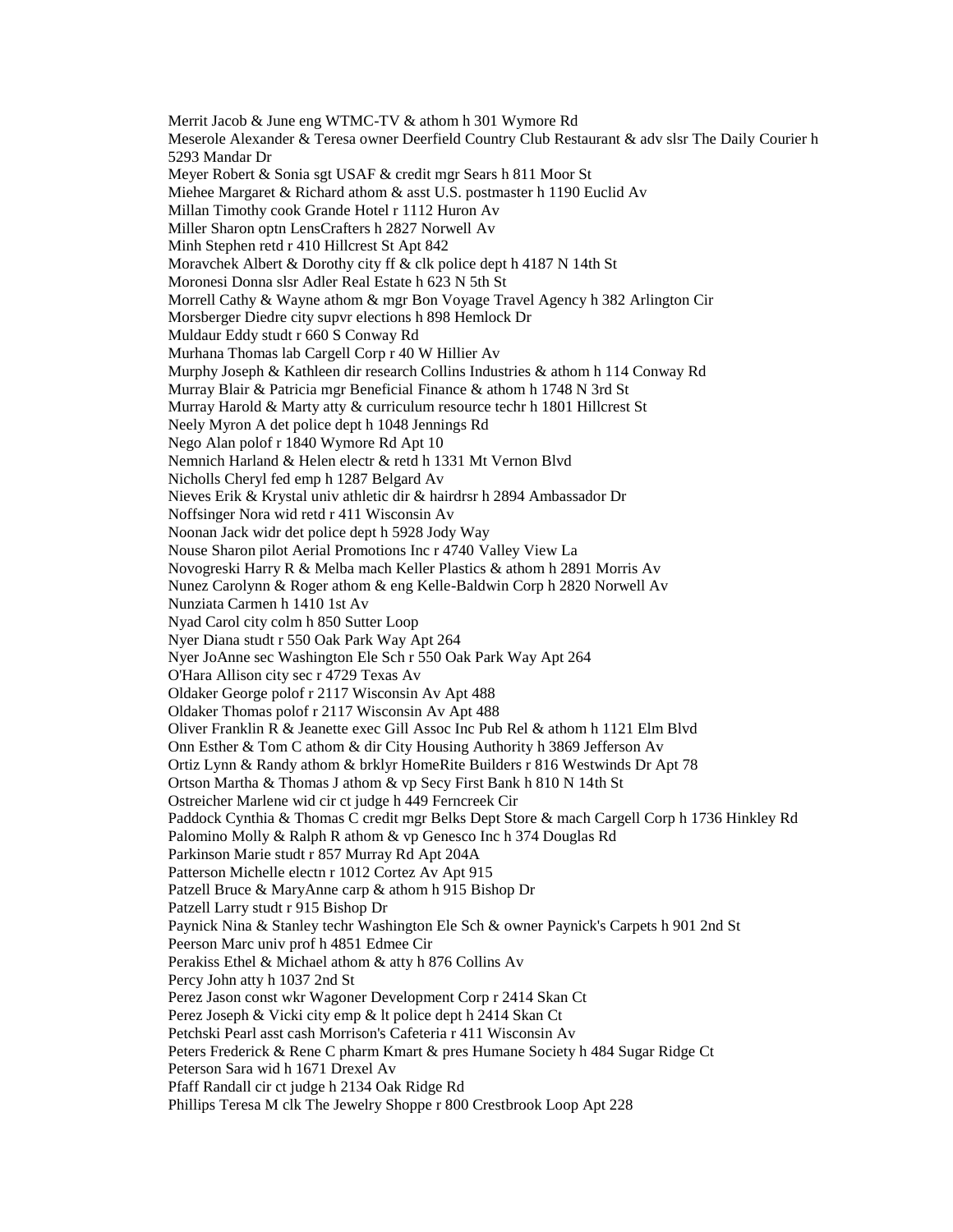Merrit Jacob & June eng WTMC-TV & athom h 301 Wymore Rd Meserole Alexander & Teresa owner Deerfield Country Club Restaurant & adv slsr The Daily Courier h 5293 Mandar Dr Meyer Robert & Sonia sgt USAF & credit mgr Sears h 811 Moor St Miehee Margaret & Richard athom & asst U.S. postmaster h 1190 Euclid Av Millan Timothy cook Grande Hotel r 1112 Huron Av Miller Sharon optn LensCrafters h 2827 Norwell Av Minh Stephen retd r 410 Hillcrest St Apt 842 Moravchek Albert & Dorothy city ff & clk police dept h 4187 N 14th St Moronesi Donna slsr Adler Real Estate h 623 N 5th St Morrell Cathy & Wayne athom & mgr Bon Voyage Travel Agency h 382 Arlington Cir Morsberger Diedre city supvr elections h 898 Hemlock Dr Muldaur Eddy studt r 660 S Conway Rd Murhana Thomas lab Cargell Corp r 40 W Hillier Av Murphy Joseph & Kathleen dir research Collins Industries & athom h 114 Conway Rd Murray Blair & Patricia mgr Beneficial Finance & athom h 1748 N 3rd St Murray Harold & Marty atty & curriculum resource techr h 1801 Hillcrest St Neely Myron A det police dept h 1048 Jennings Rd Nego Alan polof r 1840 Wymore Rd Apt 10 Nemnich Harland & Helen electr & retd h 1331 Mt Vernon Blvd Nicholls Cheryl fed emp h 1287 Belgard Av Nieves Erik & Krystal univ athletic dir & hairdrsr h 2894 Ambassador Dr Noffsinger Nora wid retd r 411 Wisconsin Av Noonan Jack widr det police dept h 5928 Jody Way Nouse Sharon pilot Aerial Promotions Inc r 4740 Valley View La Novogreski Harry R & Melba mach Keller Plastics & athom h 2891 Morris Av Nunez Carolynn & Roger athom & eng Kelle-Baldwin Corp h 2820 Norwell Av Nunziata Carmen h 1410 1st Av Nyad Carol city colm h 850 Sutter Loop Nyer Diana studt r 550 Oak Park Way Apt 264 Nyer JoAnne sec Washington Ele Sch r 550 Oak Park Way Apt 264 O'Hara Allison city sec r 4729 Texas Av Oldaker George polof r 2117 Wisconsin Av Apt 488 Oldaker Thomas polof r 2117 Wisconsin Av Apt 488 Oliver Franklin R & Jeanette exec Gill Assoc Inc Pub Rel & athom h 1121 Elm Blvd Onn Esther & Tom C athom & dir City Housing Authority h 3869 Jefferson Av Ortiz Lynn & Randy athom & brklyr HomeRite Builders r 816 Westwinds Dr Apt 78 Ortson Martha & Thomas J athom & vp Secy First Bank h 810 N 14th St Ostreicher Marlene wid cir ct judge h 449 Ferncreek Cir Paddock Cynthia & Thomas C credit mgr Belks Dept Store & mach Cargell Corp h 1736 Hinkley Rd Palomino Molly & Ralph R athom & vp Genesco Inc h 374 Douglas Rd Parkinson Marie studt r 857 Murray Rd Apt 204A Patterson Michelle electn r 1012 Cortez Av Apt 915 Patzell Bruce & MaryAnne carp & athom h 915 Bishop Dr Patzell Larry studt r 915 Bishop Dr Paynick Nina & Stanley techr Washington Ele Sch & owner Paynick's Carpets h 901 2nd St Peerson Marc univ prof h 4851 Edmee Cir Perakiss Ethel & Michael athom & atty h 876 Collins Av Percy John atty h 1037 2nd St Perez Jason const wkr Wagoner Development Corp r 2414 Skan Ct Perez Joseph & Vicki city emp & lt police dept h 2414 Skan Ct Petchski Pearl asst cash Morrison's Cafeteria r 411 Wisconsin Av Peters Frederick & Rene C pharm Kmart & pres Humane Society h 484 Sugar Ridge Ct Peterson Sara wid h 1671 Drexel Av Pfaff Randall cir ct judge h 2134 Oak Ridge Rd Phillips Teresa M clk The Jewelry Shoppe r 800 Crestbrook Loop Apt 228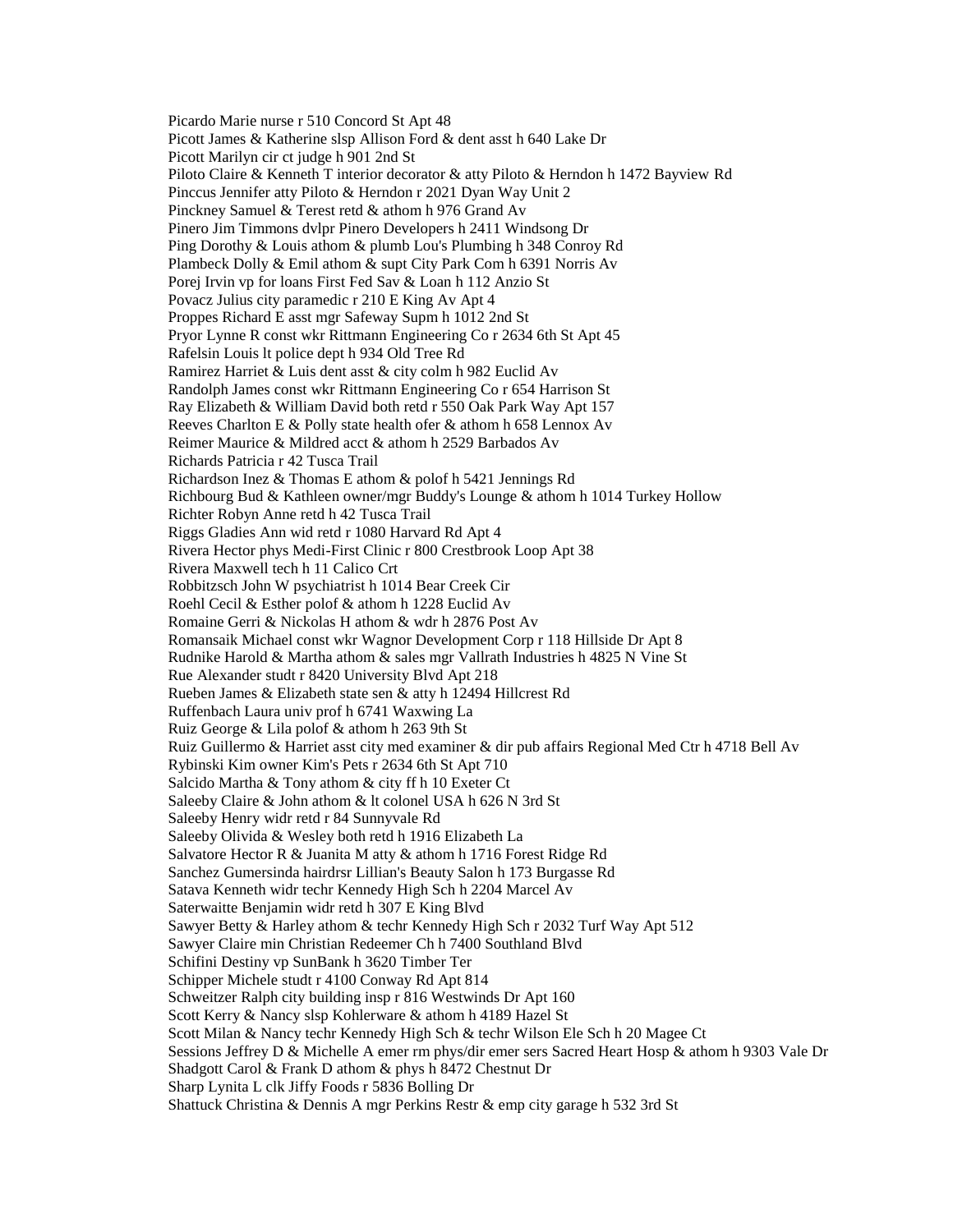Picardo Marie nurse r 510 Concord St Apt 48 Picott James & Katherine slsp Allison Ford & dent asst h 640 Lake Dr Picott Marilyn cir ct judge h 901 2nd St Piloto Claire & Kenneth T interior decorator & atty Piloto & Herndon h 1472 Bayview Rd Pinccus Jennifer atty Piloto & Herndon r 2021 Dyan Way Unit 2 Pinckney Samuel & Terest retd & athom h 976 Grand Av Pinero Jim Timmons dvlpr Pinero Developers h 2411 Windsong Dr Ping Dorothy & Louis athom & plumb Lou's Plumbing h 348 Conroy Rd Plambeck Dolly & Emil athom & supt City Park Com h 6391 Norris Av Porej Irvin vp for loans First Fed Sav & Loan h 112 Anzio St Povacz Julius city paramedic r 210 E King Av Apt 4 Proppes Richard E asst mgr Safeway Supm h 1012 2nd St Pryor Lynne R const wkr Rittmann Engineering Co r 2634 6th St Apt 45 Rafelsin Louis lt police dept h 934 Old Tree Rd Ramirez Harriet & Luis dent asst & city colm h 982 Euclid Av Randolph James const wkr Rittmann Engineering Co r 654 Harrison St Ray Elizabeth & William David both retd r 550 Oak Park Way Apt 157 Reeves Charlton E & Polly state health ofer & athom h 658 Lennox Av Reimer Maurice & Mildred acct & athom h 2529 Barbados Av Richards Patricia r 42 Tusca Trail Richardson Inez & Thomas E athom & polof h 5421 Jennings Rd Richbourg Bud & Kathleen owner/mgr Buddy's Lounge & athom h 1014 Turkey Hollow Richter Robyn Anne retd h 42 Tusca Trail Riggs Gladies Ann wid retd r 1080 Harvard Rd Apt 4 Rivera Hector phys Medi-First Clinic r 800 Crestbrook Loop Apt 38 Rivera Maxwell tech h 11 Calico Crt Robbitzsch John W psychiatrist h 1014 Bear Creek Cir Roehl Cecil & Esther polof & athom h 1228 Euclid Av Romaine Gerri & Nickolas H athom & wdr h 2876 Post Av Romansaik Michael const wkr Wagnor Development Corp r 118 Hillside Dr Apt 8 Rudnike Harold & Martha athom & sales mgr Vallrath Industries h 4825 N Vine St Rue Alexander studt r 8420 University Blvd Apt 218 Rueben James & Elizabeth state sen & atty h 12494 Hillcrest Rd Ruffenbach Laura univ prof h 6741 Waxwing La Ruiz George & Lila polof & athom h 263 9th St Ruiz Guillermo & Harriet asst city med examiner & dir pub affairs Regional Med Ctr h 4718 Bell Av Rybinski Kim owner Kim's Pets r 2634 6th St Apt 710 Salcido Martha & Tony athom & city ff h 10 Exeter Ct Saleeby Claire & John athom & lt colonel USA h 626 N 3rd St Saleeby Henry widr retd r 84 Sunnyvale Rd Saleeby Olivida & Wesley both retd h 1916 Elizabeth La Salvatore Hector R & Juanita M atty & athom h 1716 Forest Ridge Rd Sanchez Gumersinda hairdrsr Lillian's Beauty Salon h 173 Burgasse Rd Satava Kenneth widr techr Kennedy High Sch h 2204 Marcel Av Saterwaitte Benjamin widr retd h 307 E King Blvd Sawyer Betty & Harley athom & techr Kennedy High Sch r 2032 Turf Way Apt 512 Sawyer Claire min Christian Redeemer Ch h 7400 Southland Blvd Schifini Destiny vp SunBank h 3620 Timber Ter Schipper Michele studt r 4100 Conway Rd Apt 814 Schweitzer Ralph city building insp r 816 Westwinds Dr Apt 160 Scott Kerry & Nancy slsp Kohlerware & athom h 4189 Hazel St Scott Milan & Nancy techr Kennedy High Sch & techr Wilson Ele Sch h 20 Magee Ct Sessions Jeffrey D & Michelle A emer rm phys/dir emer sers Sacred Heart Hosp & athom h 9303 Vale Dr Shadgott Carol & Frank D athom & phys h 8472 Chestnut Dr Sharp Lynita L clk Jiffy Foods r 5836 Bolling Dr Shattuck Christina & Dennis A mgr Perkins Restr & emp city garage h 532 3rd St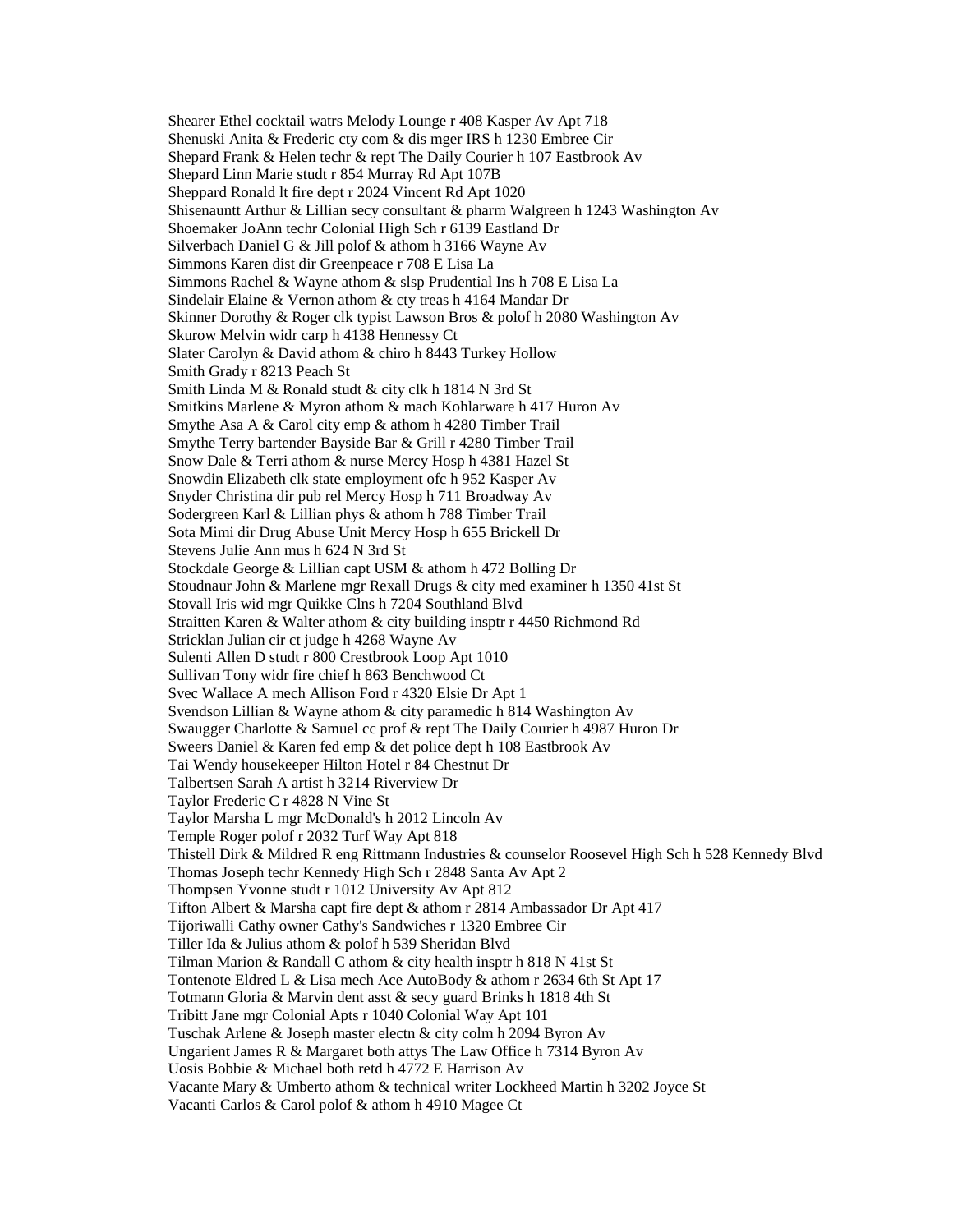Shearer Ethel cocktail watrs Melody Lounge r 408 Kasper Av Apt 718 Shenuski Anita & Frederic cty com & dis mger IRS h 1230 Embree Cir Shepard Frank & Helen techr & rept The Daily Courier h 107 Eastbrook Av Shepard Linn Marie studt r 854 Murray Rd Apt 107B Sheppard Ronald lt fire dept r 2024 Vincent Rd Apt 1020 Shisenauntt Arthur & Lillian secy consultant & pharm Walgreen h 1243 Washington Av Shoemaker JoAnn techr Colonial High Sch r 6139 Eastland Dr Silverbach Daniel G & Jill polof & athom h 3166 Wayne Av Simmons Karen dist dir Greenpeace r 708 E Lisa La Simmons Rachel & Wayne athom & slsp Prudential Ins h 708 E Lisa La Sindelair Elaine & Vernon athom & cty treas h 4164 Mandar Dr Skinner Dorothy & Roger clk typist Lawson Bros & polof h 2080 Washington Av Skurow Melvin widr carp h 4138 Hennessy Ct Slater Carolyn & David athom & chiro h 8443 Turkey Hollow Smith Grady r 8213 Peach St Smith Linda M & Ronald studt & city clk h 1814 N 3rd St Smitkins Marlene & Myron athom & mach Kohlarware h 417 Huron Av Smythe Asa A & Carol city emp & athom h 4280 Timber Trail Smythe Terry bartender Bayside Bar & Grill r 4280 Timber Trail Snow Dale & Terri athom & nurse Mercy Hosp h 4381 Hazel St Snowdin Elizabeth clk state employment ofc h 952 Kasper Av Snyder Christina dir pub rel Mercy Hosp h 711 Broadway Av Sodergreen Karl & Lillian phys & athom h 788 Timber Trail Sota Mimi dir Drug Abuse Unit Mercy Hosp h 655 Brickell Dr Stevens Julie Ann mus h 624 N 3rd St Stockdale George & Lillian capt USM & athom h 472 Bolling Dr Stoudnaur John & Marlene mgr Rexall Drugs & city med examiner h 1350 41st St Stovall Iris wid mgr Quikke Clns h 7204 Southland Blvd Straitten Karen & Walter athom & city building insptr r 4450 Richmond Rd Stricklan Julian cir ct judge h 4268 Wayne Av Sulenti Allen D studt r 800 Crestbrook Loop Apt 1010 Sullivan Tony widr fire chief h 863 Benchwood Ct Svec Wallace A mech Allison Ford r 4320 Elsie Dr Apt 1 Svendson Lillian & Wayne athom & city paramedic h 814 Washington Av Swaugger Charlotte & Samuel cc prof & rept The Daily Courier h 4987 Huron Dr Sweers Daniel & Karen fed emp & det police dept h 108 Eastbrook Av Tai Wendy housekeeper Hilton Hotel r 84 Chestnut Dr Talbertsen Sarah A artist h 3214 Riverview Dr Taylor Frederic C r 4828 N Vine St Taylor Marsha L mgr McDonald's h 2012 Lincoln Av Temple Roger polof r 2032 Turf Way Apt 818 Thistell Dirk & Mildred R eng Rittmann Industries & counselor Roosevel High Sch h 528 Kennedy Blvd Thomas Joseph techr Kennedy High Sch r 2848 Santa Av Apt 2 Thompsen Yvonne studt r 1012 University Av Apt 812 Tifton Albert & Marsha capt fire dept & athom r 2814 Ambassador Dr Apt 417 Tijoriwalli Cathy owner Cathy's Sandwiches r 1320 Embree Cir Tiller Ida & Julius athom & polof h 539 Sheridan Blvd Tilman Marion & Randall C athom & city health insptr h 818 N 41st St Tontenote Eldred L & Lisa mech Ace AutoBody & athom r 2634 6th St Apt 17 Totmann Gloria & Marvin dent asst & secy guard Brinks h 1818 4th St Tribitt Jane mgr Colonial Apts r 1040 Colonial Way Apt 101 Tuschak Arlene & Joseph master electn & city colm h 2094 Byron Av Ungarient James R & Margaret both attys The Law Office h 7314 Byron Av Uosis Bobbie & Michael both retd h 4772 E Harrison Av Vacante Mary & Umberto athom & technical writer Lockheed Martin h 3202 Joyce St Vacanti Carlos & Carol polof & athom h 4910 Magee Ct